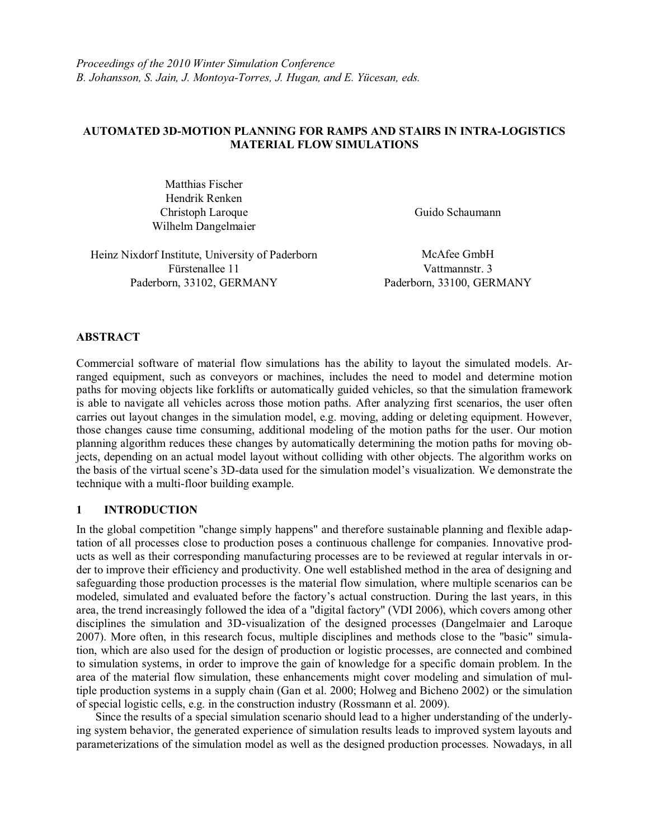## **AUTOMATED 3D-MOTION PLANNING FOR RAMPS AND STAIRS IN INTRA-LOGISTICS MATERIAL FLOW SIMULATIONS**

Matthias Fischer Hendrik Renken Christoph Laroque Guido Schaumann Wilhelm Dangelmaier

Heinz Nixdorf Institute, University of Paderborn McAfee GmbH Fürstenallee 11 Vattmannstr. 3 Paderborn, 33102, GERMANY Paderborn, 33100, GERMANY

### **ABSTRACT**

Commercial software of material flow simulations has the ability to layout the simulated models. Arranged equipment, such as conveyors or machines, includes the need to model and determine motion paths for moving objects like forklifts or automatically guided vehicles, so that the simulation framework is able to navigate all vehicles across those motion paths. After analyzing first scenarios, the user often carries out layout changes in the simulation model, e.g. moving, adding or deleting equipment. However, those changes cause time consuming, additional modeling of the motion paths for the user. Our motion planning algorithm reduces these changes by automatically determining the motion paths for moving objects, depending on an actual model layout without colliding with other objects. The algorithm works on the basis of the virtual scene's 3D-data used for the simulation model's visualization. We demonstrate the technique with a multi-floor building example.

## **1 INTRODUCTION**

In the global competition "change simply happens" and therefore sustainable planning and flexible adaptation of all processes close to production poses a continuous challenge for companies. Innovative products as well as their corresponding manufacturing processes are to be reviewed at regular intervals in order to improve their efficiency and productivity. One well established method in the area of designing and safeguarding those production processes is the material flow simulation, where multiple scenarios can be modeled, simulated and evaluated before the factory's actual construction. During the last years, in this area, the trend increasingly followed the idea of a "digital factory" (VDI 2006), which covers among other disciplines the simulation and 3D-visualization of the designed processes (Dangelmaier and Laroque 2007). More often, in this research focus, multiple disciplines and methods close to the "basic" simulation, which are also used for the design of production or logistic processes, are connected and combined to simulation systems, in order to improve the gain of knowledge for a specific domain problem. In the area of the material flow simulation, these enhancements might cover modeling and simulation of multiple production systems in a supply chain (Gan et al. 2000; Holweg and Bicheno 2002) or the simulation of special logistic cells, e.g. in the construction industry (Rossmann et al. 2009).

Since the results of a special simulation scenario should lead to a higher understanding of the underlying system behavior, the generated experience of simulation results leads to improved system layouts and parameterizations of the simulation model as well as the designed production processes. Nowadays, in all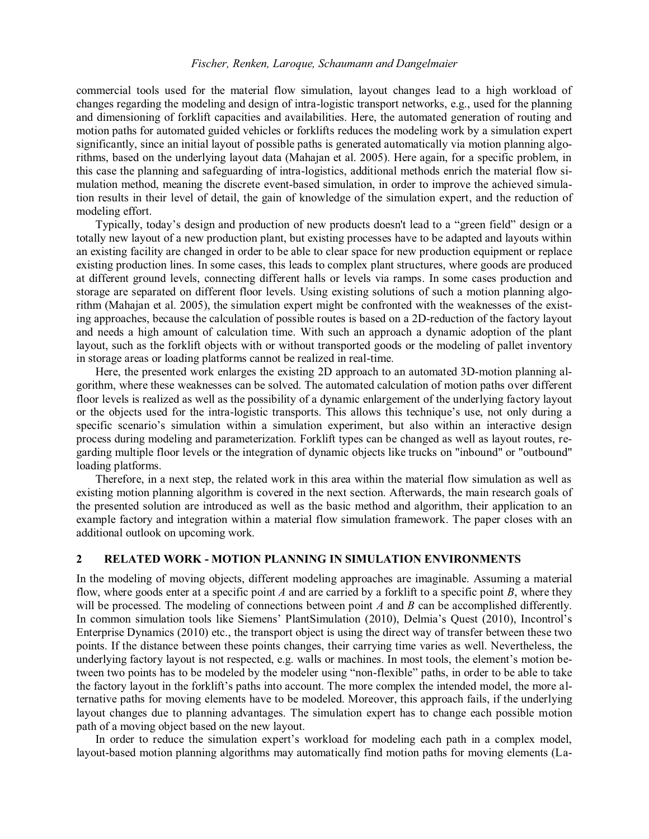#### *Fischer, Renken, Laroque, Schaumann and Dangelmaier*

commercial tools used for the material flow simulation, layout changes lead to a high workload of changes regarding the modeling and design of intra-logistic transport networks, e.g., used for the planning and dimensioning of forklift capacities and availabilities. Here, the automated generation of routing and motion paths for automated guided vehicles or forklifts reduces the modeling work by a simulation expert significantly, since an initial layout of possible paths is generated automatically via motion planning algorithms, based on the underlying layout data (Mahajan et al. 2005). Here again, for a specific problem, in this case the planning and safeguarding of intra-logistics, additional methods enrich the material flow simulation method, meaning the discrete event-based simulation, in order to improve the achieved simulation results in their level of detail, the gain of knowledge of the simulation expert, and the reduction of modeling effort.

Typically, today's design and production of new products doesn't lead to a "green field" design or a totally new layout of a new production plant, but existing processes have to be adapted and layouts within an existing facility are changed in order to be able to clear space for new production equipment or replace existing production lines. In some cases, this leads to complex plant structures, where goods are produced at different ground levels, connecting different halls or levels via ramps. In some cases production and storage are separated on different floor levels. Using existing solutions of such a motion planning algorithm (Mahajan et al. 2005), the simulation expert might be confronted with the weaknesses of the existing approaches, because the calculation of possible routes is based on a 2D-reduction of the factory layout and needs a high amount of calculation time. With such an approach a dynamic adoption of the plant layout, such as the forklift objects with or without transported goods or the modeling of pallet inventory in storage areas or loading platforms cannot be realized in real-time.

Here, the presented work enlarges the existing 2D approach to an automated 3D-motion planning algorithm, where these weaknesses can be solved. The automated calculation of motion paths over different floor levels is realized as well as the possibility of a dynamic enlargement of the underlying factory layout or the objects used for the intra-logistic transports. This allows this technique's use, not only during a specific scenario's simulation within a simulation experiment, but also within an interactive design process during modeling and parameterization. Forklift types can be changed as well as layout routes, regarding multiple floor levels or the integration of dynamic objects like trucks on "inbound" or "outbound" loading platforms.

Therefore, in a next step, the related work in this area within the material flow simulation as well as existing motion planning algorithm is covered in the next section. Afterwards, the main research goals of the presented solution are introduced as well as the basic method and algorithm, their application to an example factory and integration within a material flow simulation framework. The paper closes with an additional outlook on upcoming work.

### **2 RELATED WORK - MOTION PLANNING IN SIMULATION ENVIRONMENTS**

In the modeling of moving objects, different modeling approaches are imaginable. Assuming a material flow, where goods enter at a specific point *A* and are carried by a forklift to a specific point *B*, where they will be processed. The modeling of connections between point *A* and *B* can be accomplished differently. In common simulation tools like Siemens' PlantSimulation (2010), Delmia's Quest (2010), Incontrol's Enterprise Dynamics (2010) etc., the transport object is using the direct way of transfer between these two points. If the distance between these points changes, their carrying time varies as well. Nevertheless, the underlying factory layout is not respected, e.g. walls or machines. In most tools, the element's motion between two points has to be modeled by the modeler using "non-flexible" paths, in order to be able to take the factory layout in the forklift's paths into account. The more complex the intended model, the more alternative paths for moving elements have to be modeled. Moreover, this approach fails, if the underlying layout changes due to planning advantages. The simulation expert has to change each possible motion path of a moving object based on the new layout.

In order to reduce the simulation expert's workload for modeling each path in a complex model, layout-based motion planning algorithms may automatically find motion paths for moving elements (La-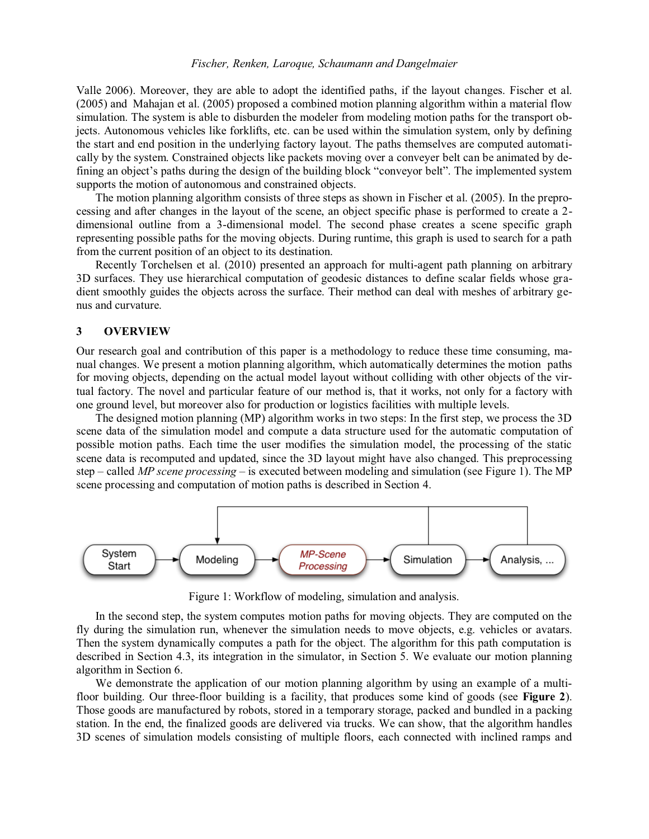#### *Fischer, Renken, Laroque, Schaumann and Dangelmaier*

Valle 2006). Moreover, they are able to adopt the identified paths, if the layout changes. Fischer et al. (2005) and Mahajan et al. (2005) proposed a combined motion planning algorithm within a material flow simulation. The system is able to disburden the modeler from modeling motion paths for the transport objects. Autonomous vehicles like forklifts, etc. can be used within the simulation system, only by defining the start and end position in the underlying factory layout. The paths themselves are computed automatically by the system. Constrained objects like packets moving over a conveyer belt can be animated by de fining an object's paths during the design of the building block "conveyor belt". The implemented system supports the motion of autonomous and constrained objects.

The motion planning algorithm consists of three steps as shown in Fischer et al. (2005). In the preprocessing and after changes in the layout of the scene, an object specific phase is performed to create a 2 dimensional outline from a 3-dimensional model. The second phase creates a scene specific graph representing possible paths for the moving objects. During runtime, this graph is used to search for a path from the current position of an object to its destination.

Recently Torchelsen et al. (2010) presented an approach for multi-agent path planning on arbitrary 3D surfaces. They use hierarchical computation of geodesic distances to define scalar fields whose gradient smoothly guides the objects across the surface. Their method can deal with meshes of arbitrary genus and curvature.

### **3 OVERVIEW**

Our research goal and contribution of this paper is a methodology to reduce these time consuming, manual changes. We present a motion planning algorithm, which automatically determines the motion paths for moving objects, depending on the actual model layout without colliding with other objects of the virtual factory. The novel and particular feature of our method is, that it works, not only for a factory with one ground level, but moreover also for production or logistics facilities with multiple levels.

The designed motion planning (MP) algorithm works in two steps: In the first step, we process the 3D scene data of the simulation model and compute a data structure used for the automatic computation of possible motion paths. Each time the user modifies the simulation model, the processing of the static scene data is recomputed and updated, since the 3D layout might have also changed. This preprocessing step – called *MP scene processing* – is executed between modeling and simulation (see Figure 1). The MP scene processing and computation of motion paths is described in Section 4.



Figure 1: Workflow of modeling, simulation and analysis.

In the second step, the system computes motion paths for moving objects. They are computed on the fly during the simulation run, whenever the simulation needs to move objects, e.g. vehicles or avatars. Then the system dynamically computes a path for the object. The algorithm for this path computation is described in Section 4.3, its integration in the simulator, in Section 5. We evaluate our motion planning algorithm in Section 6.

We demonstrate the application of our motion planning algorithm by using an example of a multifloor building. Our three-floor building is a facility, that produces some kind of goods (see **Figure 2**). Those goods are manufactured by robots, stored in a temporary storage, packed and bundled in a packing station. In the end, the finalized goods are delivered via trucks. We can show, that the algorithm handles 3D scenes of simulation models consisting of multiple floors, each connected with inclined ramps and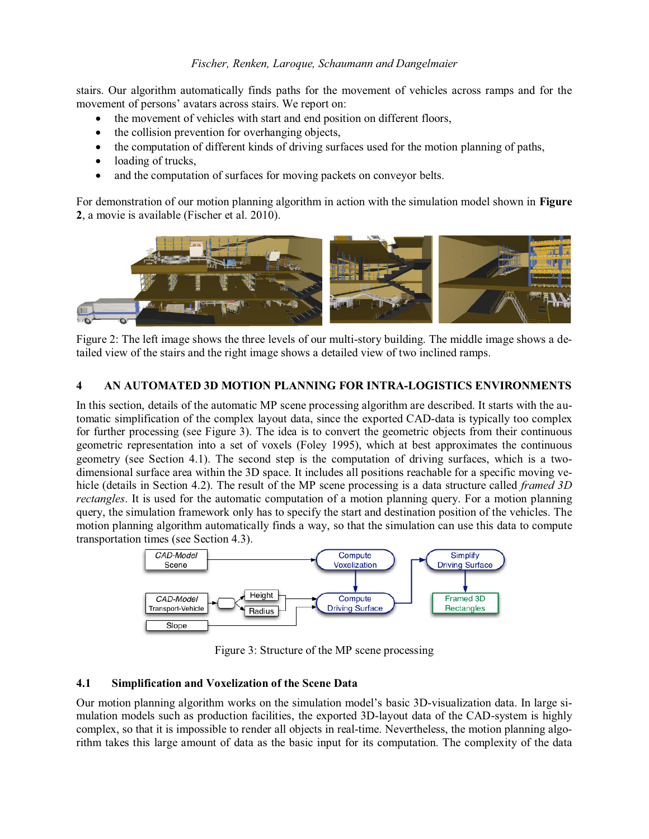## *Fischer, Renken, Laroque, Schaumann and Dangelmaier*

stairs. Our algorithm automatically finds paths for the movement of vehicles across ramps and for the movement of persons' avatars across stairs. We report on:

- the movement of vehicles with start and end position on different floors,
- $\bullet$ the collision prevention for overhanging objects,
- $\bullet$ the computation of different kinds of driving surfaces used for the motion planning of paths,
- $\bullet$ loading of trucks,
- $\bullet$ and the computation of surfaces for moving packets on conveyor belts.

For demonstration of our motion planning algorithm in action with the simulation model shown in **Figure 2**, a movie is available (Fischer et al. 2010).



Figure 2: The left image shows the three levels of our multi-story building. The middle image shows a detailed view of the stairs and the right image shows a detailed view of two inclined ramps.

# **4 AN AUTOMATED 3D MOTION PLANNING FOR INTRA-LOGISTICS ENVIRONMENTS**

In this section, details of the automatic MP scene processing algorithm are described. It starts with the automatic simplification of the complex layout data, since the exported CAD-data is typically too complex for further processing (see Figure 3). The idea is to convert the geometric objects from their continuous geometric representation into a set of voxels (Foley 1995), which at best approximates the continuous geometry (see Section 4.1). The second step is the computation of driving surfaces, which is a twodimensional surface area within the 3D space. It includes all positions reachable for a specific moving vehicle (details in Section 4.2). The result of the MP scene processing is a data structure called *framed 3D rectangles*. It is used for the automatic computation of a motion planning query. For a motion planning query, the simulation framework only has to specify the start and destination position of the vehicles. The motion planning algorithm automatically finds a way, so that the simulation can use this data to compute transportation times (see Section 4.3).



Figure 3: Structure of the MP scene processing

## **4.1 Simplification and Voxelization of the Scene Data**

Our motion planning algorithm works on the simulation model's basic 3D-visualization data. In large simulation models such as production facilities, the exported 3D-layout data of the CAD-system is highly complex, so that it is impossible to render all objects in real-time. Nevertheless, the motion planning algorithm takes this large amount of data as the basic input for its computation. The complexity of the data